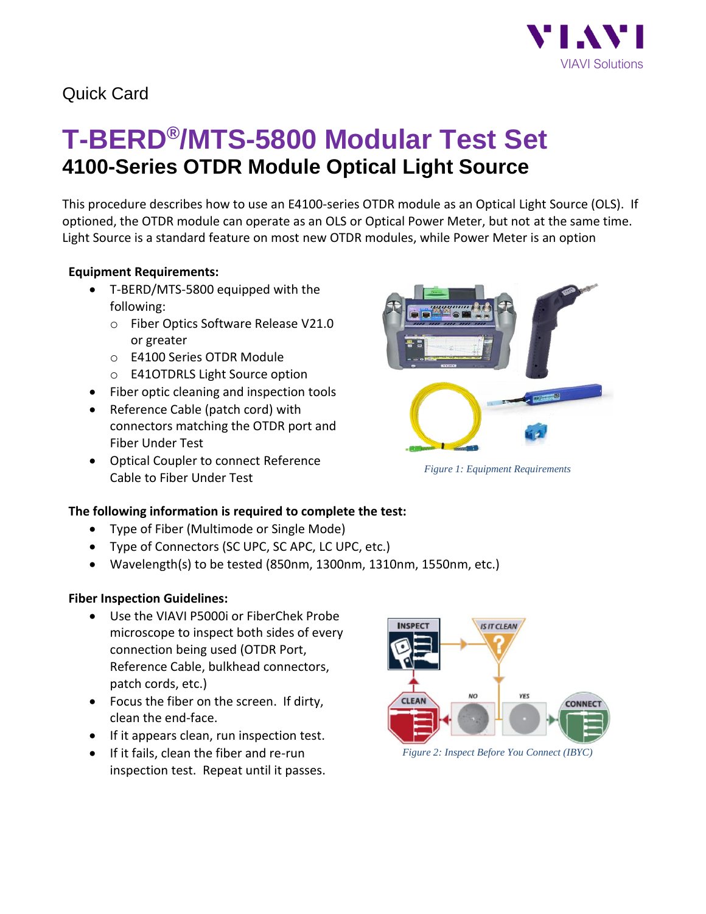

## Quick Card

# **T-BERD®/MTS-5800 Modular Test Set 4100-Series OTDR Module Optical Light Source**

This procedure describes how to use an E4100-series OTDR module as an Optical Light Source (OLS). If optioned, the OTDR module can operate as an OLS or Optical Power Meter, but not at the same time. Light Source is a standard feature on most new OTDR modules, while Power Meter is an option

#### **Equipment Requirements:**

- T-BERD/MTS-5800 equipped with the following:
	- o Fiber Optics Software Release V21.0 or greater
	- o E4100 Series OTDR Module
	- o E41OTDRLS Light Source option
- Fiber optic cleaning and inspection tools
- Reference Cable (patch cord) with connectors matching the OTDR port and Fiber Under Test
- Optical Coupler to connect Reference Cable to Fiber Under Test



- Type of Fiber (Multimode or Single Mode)
- Type of Connectors (SC UPC, SC APC, LC UPC, etc.)
- Wavelength(s) to be tested (850nm, 1300nm, 1310nm, 1550nm, etc.)

#### **Fiber Inspection Guidelines:**

- Use the VIAVI P5000i or FiberChek Probe microscope to inspect both sides of every connection being used (OTDR Port, Reference Cable, bulkhead connectors, patch cords, etc.)
- Focus the fiber on the screen. If dirty, clean the end-face.
- If it appears clean, run inspection test.
- If it fails, clean the fiber and re-run inspection test. Repeat until it passes.



*Figure 2: Inspect Before You Connect (IBYC)*



*Figure 1: Equipment Requirements*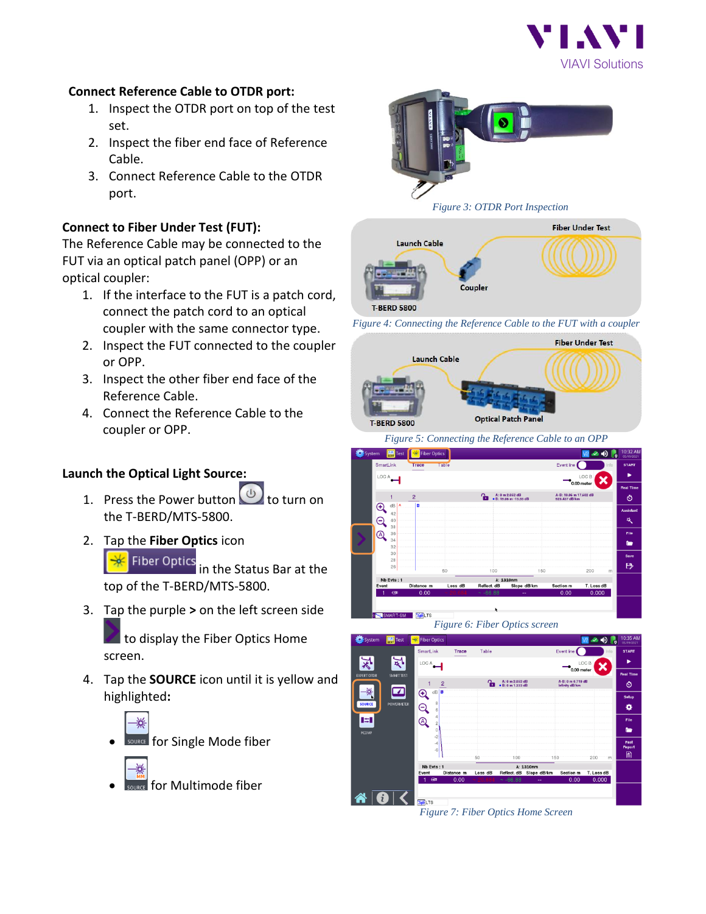

#### **Connect Reference Cable to OTDR port:**

- 1. Inspect the OTDR port on top of the test set.
- 2. Inspect the fiber end face of Reference Cable.
- 3. Connect Reference Cable to the OTDR port.

#### **Connect to Fiber Under Test (FUT):**

The Reference Cable may be connected to the FUT via an optical patch panel (OPP) or an optical coupler:

- 1. If the interface to the FUT is a patch cord, connect the patch cord to an optical coupler with the same connector type.
- 2. Inspect the FUT connected to the coupler or OPP.
- 3. Inspect the other fiber end face of the Reference Cable.
- 4. Connect the Reference Cable to the coupler or OPP.

### **Launch the Optical Light Source:**

- 1. Press the Power button  $\bigcirc$  to turn on the T-BERD/MTS-5800.
- 2. Tap the **Fiber Optics** icon **Fiber Optics** in the Status Bar at the

top of the T-BERD/MTS-5800.

3. Tap the purple **>** on the left screen side

to display the Fiber Optics Home screen.

4. Tap the **SOURCE** icon until it is yellow and highlighted**:**



**VURCE** for Single Mode fiber



• for Multimode fiber





*Figure 4: Connecting the Reference Cable to the FUT with a coupler*



*Figure 5: Connecting the Reference Cable to an OPP*







*Figure 7: Fiber Optics Home Screen*